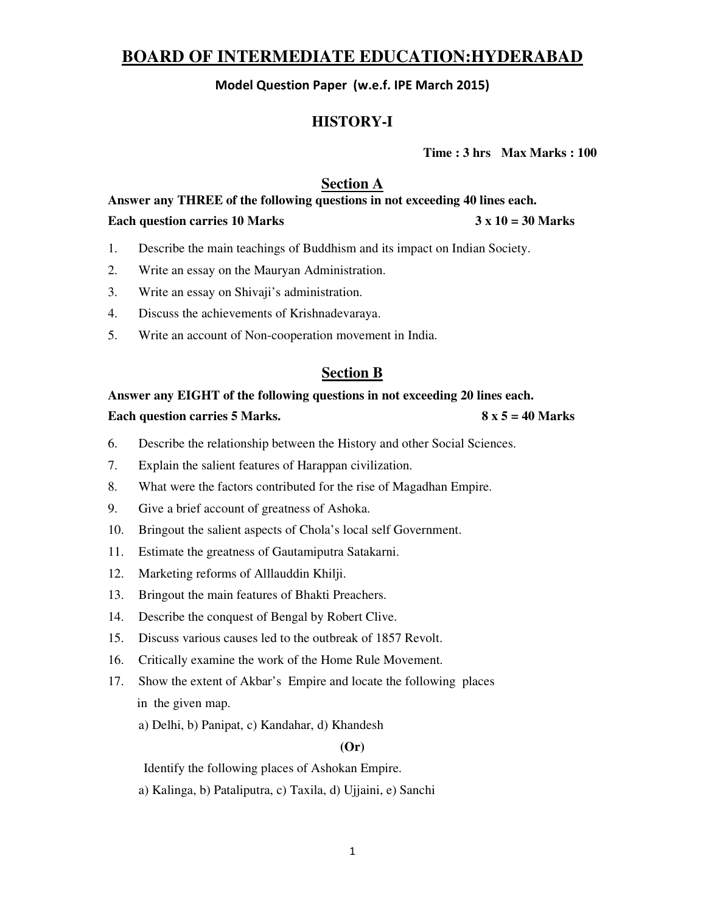# **BOARD OF INTERMEDIATE EDUCATION:HYDERABAD**

Model Question Paper (w.e.f. IPE March 2015)

## **HISTORY-I**

**Time : 3 hrs Max Marks : 100**

### **Section A**

**Answer any THREE of the following questions in not exceeding 40 lines each.**  Each question carries 10 Marks **3 x 10 = 30 Marks** 

- 1. Describe the main teachings of Buddhism and its impact on Indian Society.
- 2. Write an essay on the Mauryan Administration.
- 3. Write an essay on Shivaji's administration.
- 4. Discuss the achievements of Krishnadevaraya.
- 5. Write an account of Non-cooperation movement in India.

### **Section B**

### **Answer any EIGHT of the following questions in not exceeding 20 lines each.**

#### **Each question carries 5 Marks. 8 x 5 = 40 Marks**

- 6. Describe the relationship between the History and other Social Sciences.
- 7. Explain the salient features of Harappan civilization.
- 8. What were the factors contributed for the rise of Magadhan Empire.
- 9. Give a brief account of greatness of Ashoka.
- 10. Bringout the salient aspects of Chola's local self Government.
- 11. Estimate the greatness of Gautamiputra Satakarni.
- 12. Marketing reforms of Alllauddin Khilji.
- 13. Bringout the main features of Bhakti Preachers.
- 14. Describe the conquest of Bengal by Robert Clive.
- 15. Discuss various causes led to the outbreak of 1857 Revolt.
- 16. Critically examine the work of the Home Rule Movement.
- 17. Show the extent of Akbar's Empire and locate the following places in the given map.
	- a) Delhi, b) Panipat, c) Kandahar, d) Khandesh

#### **(Or)**

Identify the following places of Ashokan Empire.

a) Kalinga, b) Pataliputra, c) Taxila, d) Ujjaini, e) Sanchi